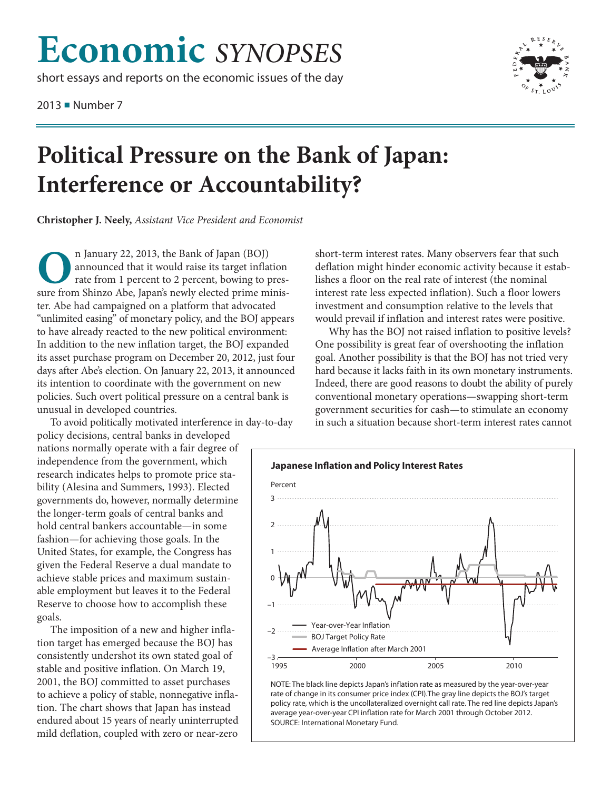# **Economic** *SYNOPSES*

short essays and reports on the economic issues of the day

2013 ■ Number 7



## **Political Pressure on the Bank of Japan: Interference or Accountability?**

**Christopher J. Neely,** *Assistant Vice President and Economist*

**O**n January 22, 2013, the Bank of Japan (BOJ)<br>announced that it would raise its target infla<br>rate from 1 percent to 2 percent, bowing to j<br>sure from Shinzo Abe Japan's newly elected prime m announced that it would raise its target inflation rate from 1 percent to 2 percent, bowing to pressure from Shinzo Abe, Japan's newly elected prime minister. Abe had campaigned on a platform that advocated "unlimited easing" of monetary policy, and the BOJ appears to have already reacted to the new political environment: In addition to the new inflation target, the BOJ expanded its asset purchase program on December 20, 2012, just four days after Abe's election. On January 22, 2013, it announced its intention to coordinate with the government on new policies. Such overt political pressure on a central bank is unusual in developed countries.

To avoid politically motivated interference in day-to-day

policy decisions, central banks in developed nations normally operate with a fair degree of independence from the government, which research indicates helps to promote price stability (Alesina and Summers, 1993). Elected governments do, however, normally determine the longer-term goals of central banks and hold central bankers accountable—in some fashion—for achieving those goals. In the United States, for example, the Congress has given the Federal Reserve a dual mandate to achieve stable prices and maximum sustainable employment but leaves it to the Federal Reserve to choose how to accomplish these goals.

The imposition of a new and higher inflation target has emerged because the BOJ has consistently undershot its own stated goal of stable and positive inflation. On March 19, 2001, the BOJ committed to asset purchases to achieve a policy of stable, nonnegative inflation. The chart shows that Japan has instead endured about 15 years of nearly uninterrupted mild deflation, coupled with zero or near-zero

short-term interest rates. Many observers fear that such deflation might hinder economic activity because it establishes a floor on the real rate of interest (the nominal interest rate less expected inflation). Such a floor lowers investment and consumption relative to the levels that would prevail if inflation and interest rates were positive.

Why has the BOJ not raised inflation to positive levels? One possibility is great fear of overshooting the inflation goal. Another possibility is that the BOJ has not tried very hard because it lacks faith in its own monetary instruments. Indeed, there are good reasons to doubt the ability of purely conventional monetary operations—swapping short-term government securities for cash—to stimulate an economy in such a situation because short-term interest rates cannot



NOTE: The black line depicts Japan's inflation rate as measured by the year-over-year rate of change in its consumer price index (CPI). The gray line depicts the BOJ's target policy rate, which is the uncollateralized overnight call rate. The red line depicts Japan's average year-over-year CPI inflation rate for March 2001 through October 2012. SOURCE: International Monetary Fund.